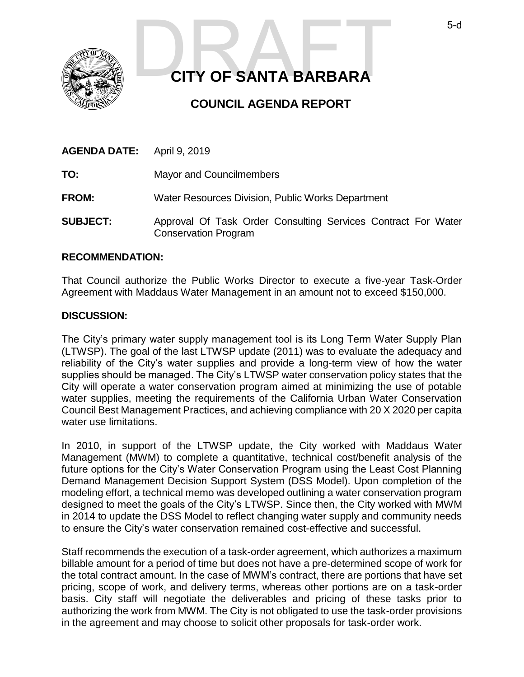

# **CITY OF SANTA BARBARA**  S-d<br>CITY OF SANTA BARBARA

## **COUNCIL AGENDA REPORT**

| <b>AGENDA DATE:</b> | April 9, 2019                                                                                |
|---------------------|----------------------------------------------------------------------------------------------|
| TO:                 | <b>Mayor and Councilmembers</b>                                                              |
| <b>FROM:</b>        | Water Resources Division, Public Works Department                                            |
| <b>SUBJECT:</b>     | Approval Of Task Order Consulting Services Contract For Water<br><b>Conservation Program</b> |

### **RECOMMENDATION:**

That Council authorize the Public Works Director to execute a five-year Task-Order Agreement with Maddaus Water Management in an amount not to exceed \$150,000.

### **DISCUSSION:**

The City's primary water supply management tool is its Long Term Water Supply Plan (LTWSP). The goal of the last LTWSP update (2011) was to evaluate the adequacy and reliability of the City's water supplies and provide a long-term view of how the water supplies should be managed. The City's LTWSP water conservation policy states that the City will operate a water conservation program aimed at minimizing the use of potable water supplies, meeting the requirements of the California Urban Water Conservation Council Best Management Practices, and achieving compliance with 20 X 2020 per capita water use limitations.

In 2010, in support of the LTWSP update, the City worked with Maddaus Water Management (MWM) to complete a quantitative, technical cost/benefit analysis of the future options for the City's Water Conservation Program using the Least Cost Planning Demand Management Decision Support System (DSS Model). Upon completion of the modeling effort, a technical memo was developed outlining a water conservation program designed to meet the goals of the City's LTWSP. Since then, the City worked with MWM in 2014 to update the DSS Model to reflect changing water supply and community needs to ensure the City's water conservation remained cost-effective and successful.

Staff recommends the execution of a task-order agreement, which authorizes a maximum billable amount for a period of time but does not have a pre-determined scope of work for the total contract amount. In the case of MWM's contract, there are portions that have set pricing, scope of work, and delivery terms, whereas other portions are on a task-order basis. City staff will negotiate the deliverables and pricing of these tasks prior to authorizing the work from MWM. The City is not obligated to use the task-order provisions in the agreement and may choose to solicit other proposals for task-order work.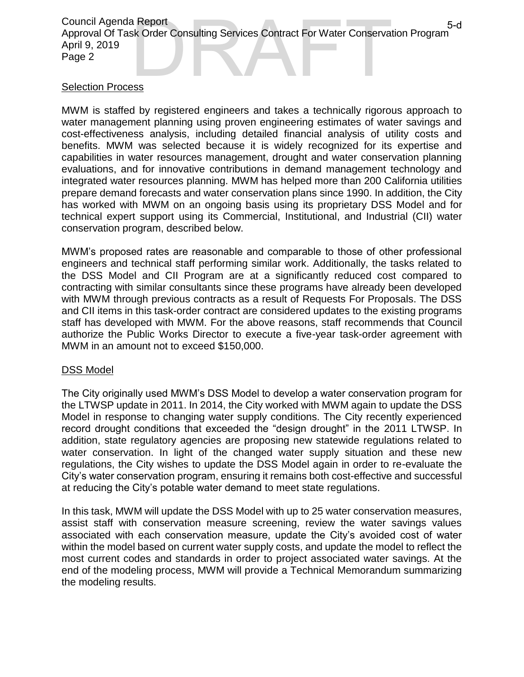Council Agenda Report Approval Of Task Order Consulting Services Contract For Water Conservation Program April 9, 2019 Page 2 a Report<br>sk Order Consulting Services Contract For Water Conservation Program<br>255

## Selection Process

MWM is staffed by registered engineers and takes a technically rigorous approach to water management planning using proven engineering estimates of water savings and cost-effectiveness analysis, including detailed financial analysis of utility costs and benefits. MWM was selected because it is widely recognized for its expertise and capabilities in water resources management, drought and water conservation planning evaluations, and for innovative contributions in demand management technology and integrated water resources planning. MWM has helped more than 200 California utilities prepare demand forecasts and water conservation plans since 1990. In addition, the City has worked with MWM on an ongoing basis using its proprietary DSS Model and for technical expert support using its Commercial, Institutional, and Industrial (CII) water conservation program, described below.

MWM's proposed rates are reasonable and comparable to those of other professional engineers and technical staff performing similar work. Additionally, the tasks related to the DSS Model and CII Program are at a significantly reduced cost compared to contracting with similar consultants since these programs have already been developed with MWM through previous contracts as a result of Requests For Proposals. The DSS and CII items in this task-order contract are considered updates to the existing programs staff has developed with MWM. For the above reasons, staff recommends that Council authorize the Public Works Director to execute a five-year task-order agreement with MWM in an amount not to exceed \$150,000.

## DSS Model

The City originally used MWM's DSS Model to develop a water conservation program for the LTWSP update in 2011. In 2014, the City worked with MWM again to update the DSS Model in response to changing water supply conditions. The City recently experienced record drought conditions that exceeded the "design drought" in the 2011 LTWSP. In addition, state regulatory agencies are proposing new statewide regulations related to water conservation. In light of the changed water supply situation and these new regulations, the City wishes to update the DSS Model again in order to re-evaluate the City's water conservation program, ensuring it remains both cost-effective and successful at reducing the City's potable water demand to meet state regulations.

In this task, MWM will update the DSS Model with up to 25 water conservation measures, assist staff with conservation measure screening, review the water savings values associated with each conservation measure, update the City's avoided cost of water within the model based on current water supply costs, and update the model to reflect the most current codes and standards in order to project associated water savings. At the end of the modeling process, MWM will provide a Technical Memorandum summarizing the modeling results.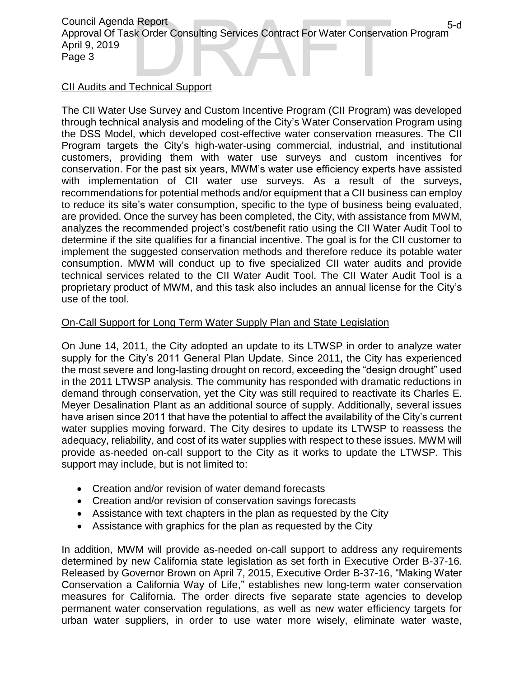## Council Agenda Report Approval Of Task Order Consulting Services Contract For Water Conservation Program April 9, 2019 Page 3 a Report<br>sk Order Consulting Services Contract For Water Conservation Program<br>Technical Support

## CII Audits and Technical Support

The CII Water Use Survey and Custom Incentive Program (CII Program) was developed through technical analysis and modeling of the City's Water Conservation Program using the DSS Model, which developed cost-effective water conservation measures. The CII Program targets the City's high-water-using commercial, industrial, and institutional customers, providing them with water use surveys and custom incentives for conservation. For the past six years, MWM's water use efficiency experts have assisted with implementation of CII water use surveys. As a result of the surveys, recommendations for potential methods and/or equipment that a CII business can employ to reduce its site's water consumption, specific to the type of business being evaluated, are provided. Once the survey has been completed, the City, with assistance from MWM, analyzes the recommended project's cost/benefit ratio using the CII Water Audit Tool to determine if the site qualifies for a financial incentive. The goal is for the CII customer to implement the suggested conservation methods and therefore reduce its potable water consumption. MWM will conduct up to five specialized CII water audits and provide technical services related to the CII Water Audit Tool. The CII Water Audit Tool is a proprietary product of MWM, and this task also includes an annual license for the City's use of the tool.

## On-Call Support for Long Term Water Supply Plan and State Legislation

On June 14, 2011, the City adopted an update to its LTWSP in order to analyze water supply for the City's 2011 General Plan Update. Since 2011, the City has experienced the most severe and long-lasting drought on record, exceeding the "design drought" used in the 2011 LTWSP analysis. The community has responded with dramatic reductions in demand through conservation, yet the City was still required to reactivate its Charles E. Meyer Desalination Plant as an additional source of supply. Additionally, several issues have arisen since 2011 that have the potential to affect the availability of the City's current water supplies moving forward. The City desires to update its LTWSP to reassess the adequacy, reliability, and cost of its water supplies with respect to these issues. MWM will provide as-needed on-call support to the City as it works to update the LTWSP. This support may include, but is not limited to:

- Creation and/or revision of water demand forecasts
- Creation and/or revision of conservation savings forecasts
- Assistance with text chapters in the plan as requested by the City
- Assistance with graphics for the plan as requested by the City

In addition, MWM will provide as-needed on-call support to address any requirements determined by new California state legislation as set forth in Executive Order B-37-16. Released by Governor Brown on April 7, 2015, Executive Order B-37-16, "Making Water Conservation a California Way of Life," establishes new long-term water conservation measures for California. The order directs five separate state agencies to develop permanent water conservation regulations, as well as new water efficiency targets for urban water suppliers, in order to use water more wisely, eliminate water waste,